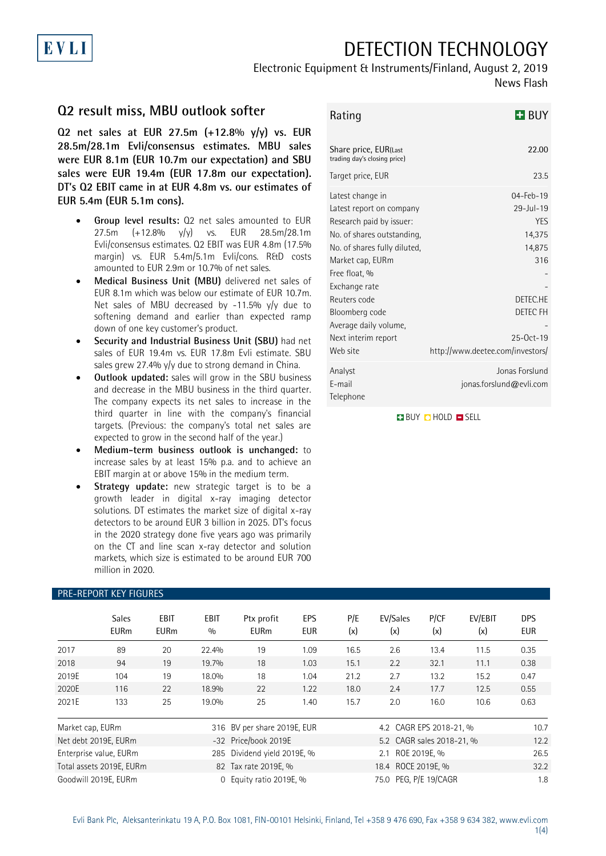## DETECTION TECHNOLOGY

## Electronic Equipment & Instruments/Finland, August 2, 2019

News Flash

## **Q2 result miss, MBU outlook softer**

**Q2 net sales at EUR 27.5m (+12.8% y/y) vs. EUR 28.5m/28.1m Evli/consensus estimates. MBU sales were EUR 8.1m (EUR 10.7m our expectation) and SBU sales were EUR 19.4m (EUR 17.8m our expectation). DT's Q2 EBIT came in at EUR 4.8m vs. our estimates of EUR 5.4m (EUR 5.1m cons).** 

- **Group level results:** Q2 net sales amounted to EUR 27.5m (+12.8% y/y) vs. EUR 28.5m/28.1m Evli/consensus estimates. Q2 EBIT was EUR 4.8m (17.5% margin) vs. EUR 5.4m/5.1m Evli/cons. R&D costs amounted to EUR 2.9m or 10.7% of net sales.
- **Medical Business Unit (MBU)** delivered net sales of EUR 8.1m which was below our estimate of EUR 10.7m. Net sales of MBU decreased by -11.5% y/y due to softening demand and earlier than expected ramp down of one key customer's product.
- **Security and Industrial Business Unit (SBU)** had net sales of EUR 19.4m vs. EUR 17.8m Evli estimate. SBU sales grew 27.4%  $y/y$  due to strong demand in China.
- **Outlook updated:** sales will grow in the SBU business and decrease in the MBU business in the third quarter. The company expects its net sales to increase in the third quarter in line with the company's financial targets. (Previous: the company's total net sales are expected to grow in the second half of the year.)
- **Medium-term business outlook is unchanged:** to increase sales by at least 15% p.a. and to achieve an EBIT margin at or above 15% in the medium term.
- **Strategy update:** new strategic target is to be a growth leader in digital x-ray imaging detector solutions. DT estimates the market size of digital x-ray detectors to be around EUR 3 billion in 2025. DT's focus in the 2020 strategy done five years ago was primarily on the CT and line scan x-ray detector and solution markets, which size is estimated to be around EUR 700 million in 2020.

| PRE-REPORT KEY FIGURES   |                             |                     |                             |                             |                          |                           |                 |             |                |                          |
|--------------------------|-----------------------------|---------------------|-----------------------------|-----------------------------|--------------------------|---------------------------|-----------------|-------------|----------------|--------------------------|
|                          | <b>Sales</b><br><b>EURm</b> | EBIT<br><b>EURm</b> | <b>EBIT</b><br>0/0          | Ptx profit<br><b>EURm</b>   | <b>EPS</b><br><b>EUR</b> | P/E<br>(x)                | EV/Sales<br>(x) | P/CF<br>(x) | EV/EBIT<br>(x) | <b>DPS</b><br><b>EUR</b> |
| 2017                     | 89                          | 20                  | 22.4%                       | 19                          | 1.09                     | 16.5                      | 2.6             | 13.4        | 11.5           | 0.35                     |
| 2018                     | 94                          | 19                  | 19.7%                       | 18                          | 1.03                     | 15.1                      | 2.2             | 32.1        | 11.1           | 0.38                     |
| 2019E                    | 104                         | 19                  | 18.0%                       | 18                          | 1.04                     | 21.2                      | 2.7             | 13.2        | 15.2           | 0.47                     |
| 2020E                    | 116                         | 22                  | 18.9%                       | 22                          | 1.22                     | 18.0                      | 2.4             | 17.7        | 12.5           | 0.55                     |
| 2021E                    | 133                         | 25                  | 19.0%                       | 25                          | 1.40                     | 15.7                      | 2.0             | 16.0        | 10.6           | 0.63                     |
| Market cap, EURm         |                             |                     |                             | 316 BV per share 2019E, EUR |                          | 4.2 CAGR EPS 2018-21, %   |                 |             |                | 10.7                     |
| Net debt 2019E, EURm     |                             |                     | -32 Price/book 2019E        |                             |                          | 5.2 CAGR sales 2018-21, % |                 |             | 12.2           |                          |
| Enterprise value, EURm   |                             |                     | 285 Dividend yield 2019E, % |                             |                          | 2.1 ROE 2019E, %          |                 |             | 26.5           |                          |
| Total assets 2019E, EURm |                             |                     | 82 Tax rate 2019E, %        |                             |                          | 18.4 ROCE 2019E, %        |                 |             | 32.2           |                          |
| Goodwill 2019E, EURm     |                             |                     | 0 Equity ratio 2019E, %     |                             |                          | 75.0 PEG, P/E 19/CAGR     |                 |             | 1.8            |                          |

| Rating | $H$ BUY |
|--------|---------|
|        |         |

| Share price, EUR(Last<br>trading day's closing price)                                                                                                                                                                                                                                                           | 22.00                                                                                                                                                                                               |
|-----------------------------------------------------------------------------------------------------------------------------------------------------------------------------------------------------------------------------------------------------------------------------------------------------------------|-----------------------------------------------------------------------------------------------------------------------------------------------------------------------------------------------------|
| Target price, EUR                                                                                                                                                                                                                                                                                               | 23.5                                                                                                                                                                                                |
| Latest change in<br>Latest report on company<br>Research paid by issuer:<br>No. of shares outstanding,<br>No. of shares fully diluted,<br>Market cap, EURm<br>Free float, %<br>Exchange rate<br>Reuters code<br>Bloomberg code<br>Average daily volume,<br>Next interim report<br>Web site<br>Analyst<br>F-mail | $04 - Feb - 19$<br>$29 -  u  - 19$<br><b>YFS</b><br>14,375<br>14,875<br>316<br>DETEC.HE<br>DETEC FH<br>$25-0ct-19$<br>http://www.deetee.com/investors/<br>Jonas Forslund<br>jonas.forslund@evli.com |
| Telephone                                                                                                                                                                                                                                                                                                       |                                                                                                                                                                                                     |

**BUY CHOLD SELL** 

# EVLI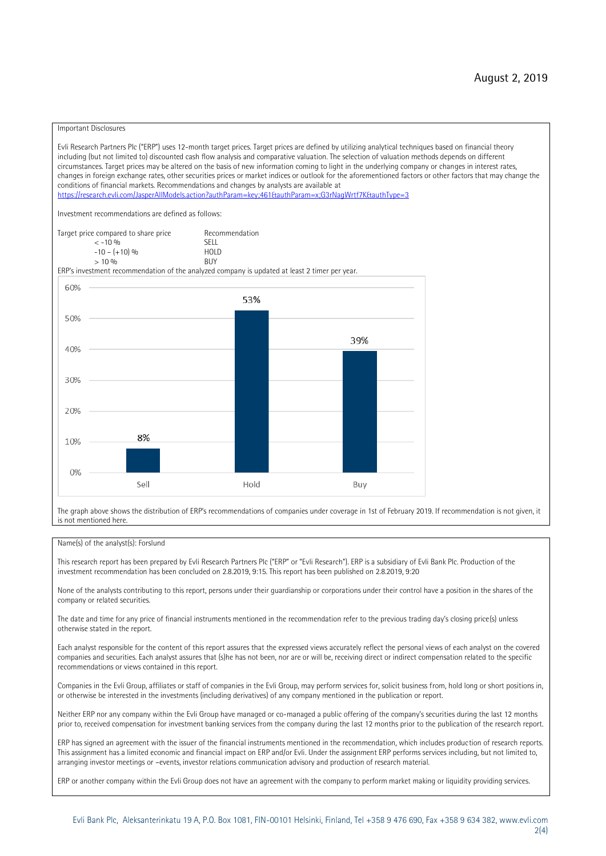#### Important Disclosures

Evli Research Partners Plc ("ERP") uses 12-month target prices. Target prices are defined by utilizing analytical techniques based on financial theory including (but not limited to) discounted cash flow analysis and comparative valuation. The selection of valuation methods depends on different circumstances. Target prices may be altered on the basis of new information coming to light in the underlying company or changes in interest rates, changes in foreign exchange rates, other securities prices or market indices or outlook for the aforementioned factors or other factors that may change the conditions of financial markets. Recommendations and changes by analysts are available at <https://research.evli.com/JasperAllModels.action?authParam=key;461&authParam=x;G3rNagWrtf7K&authType=3>

Investment recommendations are defined as follows:



The graph above shows the distribution of ERP's recommendations of companies under coverage in 1st of February 2019. If recommendation is not given, it is not mentioned here.

#### Name(s) of the analyst(s): Forslund

This research report has been prepared by Evli Research Partners Plc ("ERP" or "Evli Research"). ERP is a subsidiary of Evli Bank Plc. Production of the investment recommendation has been concluded on 2.8.2019, 9:15. This report has been published on 2.8.2019, 9:20

None of the analysts contributing to this report, persons under their guardianship or corporations under their control have a position in the shares of the company or related securities.

The date and time for any price of financial instruments mentioned in the recommendation refer to the previous trading day's closing price(s) unless otherwise stated in the report.

Each analyst responsible for the content of this report assures that the expressed views accurately reflect the personal views of each analyst on the covered companies and securities. Each analyst assures that (s)he has not been, nor are or will be, receiving direct or indirect compensation related to the specific recommendations or views contained in this report.

Companies in the Evli Group, affiliates or staff of companies in the Evli Group, may perform services for, solicit business from, hold long or short positions in, or otherwise be interested in the investments (including derivatives) of any company mentioned in the publication or report.

Neither ERP nor any company within the Evli Group have managed or co-managed a public offering of the company's securities during the last 12 months prior to, received compensation for investment banking services from the company during the last 12 months prior to the publication of the research report.

ERP has signed an agreement with the issuer of the financial instruments mentioned in the recommendation, which includes production of research reports. This assignment has a limited economic and financial impact on ERP and/or Evli. Under the assignment ERP performs services including, but not limited to, arranging investor meetings or –events, investor relations communication advisory and production of research material.

ERP or another company within the Evli Group does not have an agreement with the company to perform market making or liquidity providing services.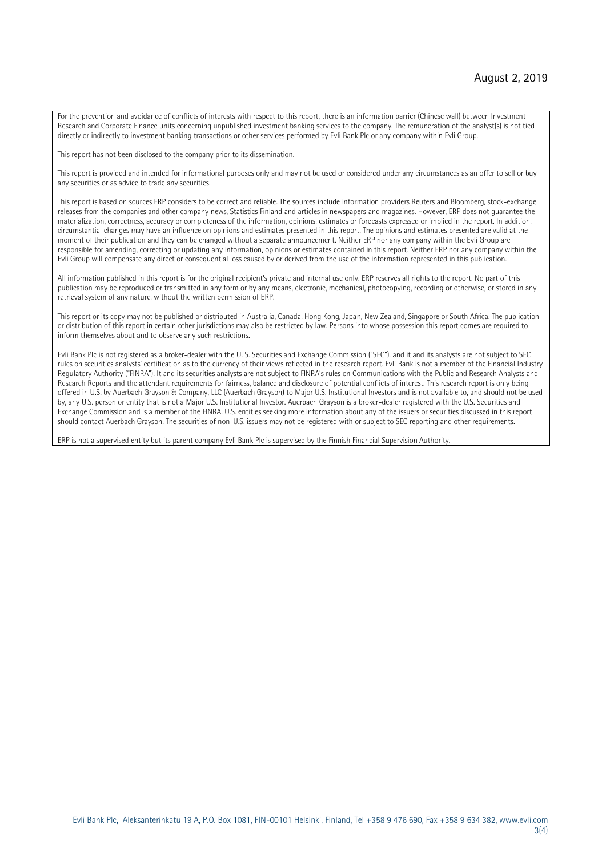For the prevention and avoidance of conflicts of interests with respect to this report, there is an information barrier (Chinese wall) between Investment Research and Corporate Finance units concerning unpublished investment banking services to the company. The remuneration of the analyst(s) is not tied directly or indirectly to investment banking transactions or other services performed by Evli Bank Plc or any company within Evli Group.

This report has not been disclosed to the company prior to its dissemination.

This report is provided and intended for informational purposes only and may not be used or considered under any circumstances as an offer to sell or buy any securities or as advice to trade any securities.

This report is based on sources ERP considers to be correct and reliable. The sources include information providers Reuters and Bloomberg, stock-exchange releases from the companies and other company news, Statistics Finland and articles in newspapers and magazines. However, ERP does not guarantee the materialization, correctness, accuracy or completeness of the information, opinions, estimates or forecasts expressed or implied in the report. In addition, circumstantial changes may have an influence on opinions and estimates presented in this report. The opinions and estimates presented are valid at the moment of their publication and they can be changed without a separate announcement. Neither ERP nor any company within the Evli Group are responsible for amending, correcting or updating any information, opinions or estimates contained in this report. Neither ERP nor any company within the Evli Group will compensate any direct or consequential loss caused by or derived from the use of the information represented in this publication.

All information published in this report is for the original recipient's private and internal use only. ERP reserves all rights to the report. No part of this publication may be reproduced or transmitted in any form or by any means, electronic, mechanical, photocopying, recording or otherwise, or stored in any retrieval system of any nature, without the written permission of ERP.

This report or its copy may not be published or distributed in Australia, Canada, Hong Kong, Japan, New Zealand, Singapore or South Africa. The publication or distribution of this report in certain other jurisdictions may also be restricted by law. Persons into whose possession this report comes are required to inform themselves about and to observe any such restrictions.

Evli Bank Plc is not registered as a broker-dealer with the U. S. Securities and Exchange Commission ("SEC"), and it and its analysts are not subject to SEC rules on securities analysts' certification as to the currency of their views reflected in the research report. Evli Bank is not a member of the Financial Industry Regulatory Authority ("FINRA"). It and its securities analysts are not subject to FINRA's rules on Communications with the Public and Research Analysts and Research Reports and the attendant requirements for fairness, balance and disclosure of potential conflicts of interest. This research report is only being offered in U.S. by Auerbach Grayson & Company, LLC (Auerbach Grayson) to Major U.S. Institutional Investors and is not available to, and should not be used by, any U.S. person or entity that is not a Major U.S. Institutional Investor. Auerbach Grayson is a broker-dealer registered with the U.S. Securities and Exchange Commission and is a member of the FINRA. U.S. entities seeking more information about any of the issuers or securities discussed in this report should contact Auerbach Grayson. The securities of non-U.S. issuers may not be registered with or subject to SEC reporting and other requirements.

ERP is not a supervised entity but its parent company Evli Bank Plc is supervised by the Finnish Financial Supervision Authority.